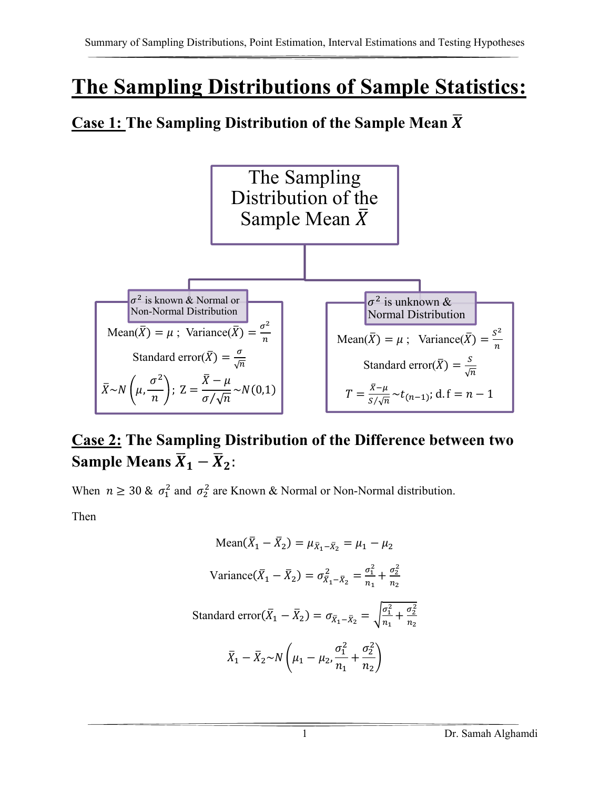# **The Sampling Distributions of Sample Statistics:**

#### **<u>Case 1:</u> The Sampling Distribution of the Sample Mean**  $\overline{X}$



#### **Case 2: The Sampling Distribution of the Difference between two Sample Means**  $\overline{X}_1 - \overline{X}_2$ :

When  $n \geq 30$  &  $\sigma_1^2$  and  $\sigma_2^2$  are Known & Normal or Non-Normal distribution.

Then

Mean(
$$
\bar{X}_1 - \bar{X}_2
$$
) =  $\mu_{\bar{X}_1 - \bar{X}_2}$  =  $\mu_1 - \mu_2$   
\nVariance( $\bar{X}_1 - \bar{X}_2$ ) =  $\sigma_{\bar{X}_1 - \bar{X}_2}$  =  $\frac{\sigma_1^2}{n_1} + \frac{\sigma_2^2}{n_2}$   
\nStandard error( $\bar{X}_1 - \bar{X}_2$ ) =  $\sigma_{\bar{X}_1 - \bar{X}_2}$  =  $\sqrt{\frac{\sigma_1^2}{n_1} + \frac{\sigma_2^2}{n_2}}$   
\n $\bar{X}_1 - \bar{X}_2 \sim N \left(\mu_1 - \mu_2, \frac{\sigma_1^2}{n_1} + \frac{\sigma_2^2}{n_2}\right)$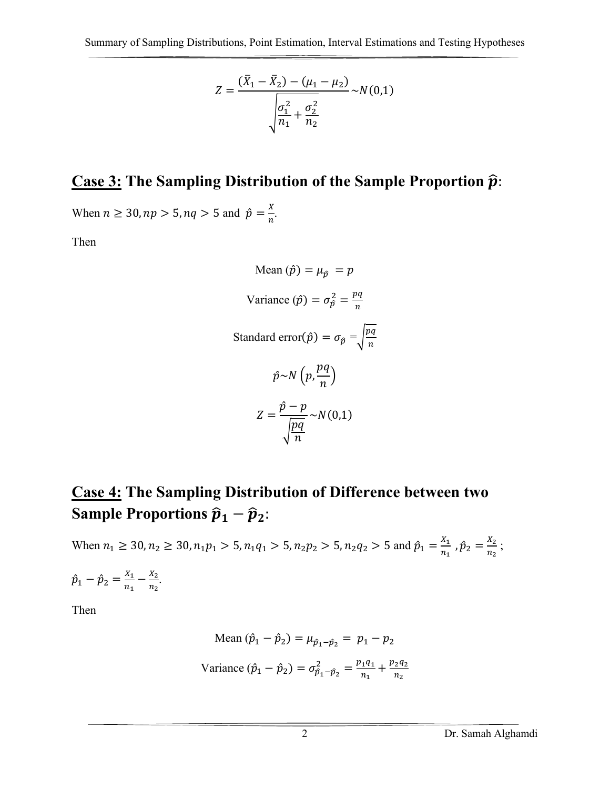$$
Z = \frac{(\bar{X}_1 - \bar{X}_2) - (\mu_1 - \mu_2)}{\sqrt{\frac{\sigma_1^2}{n_1} + \frac{\sigma_2^2}{n_2}}} \sim N(0, 1)
$$

#### **Case 3: The Sampling Distribution of the Sample Proportion**  $\hat{p}$ **:**

When  $n \ge 30$ ,  $np > 5$ ,  $nq > 5$  and  $\hat{p} = \frac{x}{n}$ .

Then

Mean  $(\hat{p}) = \mu_{\hat{p}} = p$ Variance  $(\hat{p}) = \sigma_{\hat{p}}^2 = \frac{pq}{n}$ Standard error $(\hat{p}) = \sigma_{\hat{p}} = \sqrt{\frac{pq}{n}}$  $pq$  $\hat{p} \sim N\left(p, \frac{pq}{n}\right)$  $\hat{p}-p$  $Z =$  $\sqrt{\frac{pq}{n}}$  $~\sim N(0,1)$ 

#### **Case 4: The Sampling Distribution of Difference between two Sample Proportions**  $\hat{p}_1 - \hat{p}_2$ **:**

When  $n_1 \ge 30$ ,  $n_2 \ge 30$ ,  $n_1 p_1 > 5$ ,  $n_1 q_1 > 5$ ,  $n_2 p_2 > 5$ ,  $n_2 q_2 > 5$  and  $\hat{p}_1 = \frac{x_1}{n_1}$ ,  $\hat{p}_2 = \frac{x_2}{n_2}$ ;  $\hat{p}_1 - \hat{p}_2 = \frac{X_1}{n_1} - \frac{X_2}{n_2}.$ 

Then

Mean 
$$
(\hat{p}_1 - \hat{p}_2) = \mu_{\hat{p}_1 - \hat{p}_2} = p_1 - p_2
$$
  
Variance  $(\hat{p}_1 - \hat{p}_2) = \sigma_{\hat{p}_1 - \hat{p}_2}^2 = \frac{p_1 q_1}{n_1} + \frac{p_2 q_2}{n_2}$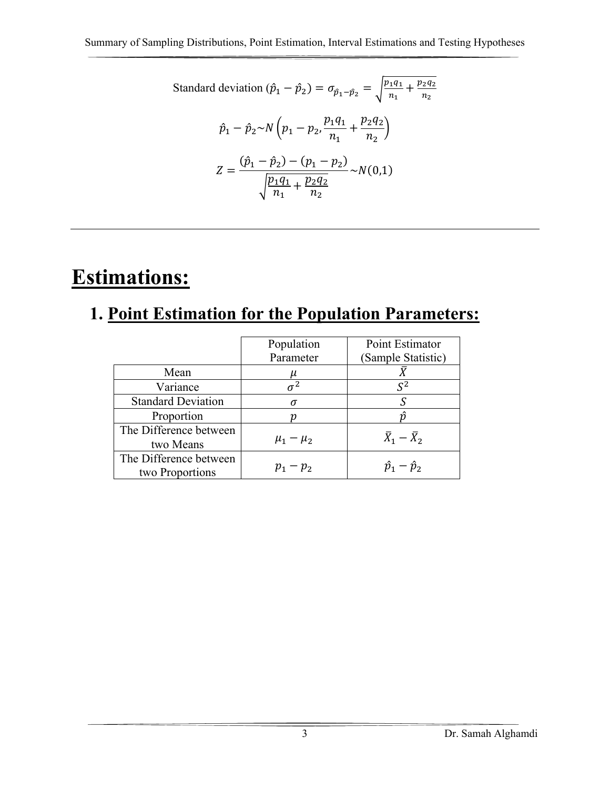Standard deviation 
$$
(\hat{p}_1 - \hat{p}_2) = \sigma_{\hat{p}_1 - \hat{p}_2} = \sqrt{\frac{p_1 q_1}{n_1} + \frac{p_2 q_2}{n_2}}
$$
  
\n
$$
\hat{p}_1 - \hat{p}_2 \sim N \left( p_1 - p_2, \frac{p_1 q_1}{n_1} + \frac{p_2 q_2}{n_2} \right)
$$
\n
$$
Z = \frac{(\hat{p}_1 - \hat{p}_2) - (p_1 - p_2)}{\sqrt{\frac{p_1 q_1}{n_1} + \frac{p_2 q_2}{n_2}}} \sim N(0, 1)
$$

# **Estimations:**

## **1. Point Estimation for the Population Parameters:**

|                                           | Population<br>Parameter | Point Estimator<br>(Sample Statistic) |
|-------------------------------------------|-------------------------|---------------------------------------|
| Mean                                      |                         |                                       |
| Variance                                  |                         | $S^2$                                 |
| <b>Standard Deviation</b>                 | σ                       |                                       |
| Proportion                                |                         |                                       |
| The Difference between<br>two Means       | $\mu_1 - \mu_2$         | $\bar{X}_1 - \bar{X}_2$               |
| The Difference between<br>two Proportions | $p_1 - p_2$             | $\hat{p}_1 - \hat{p}_2$               |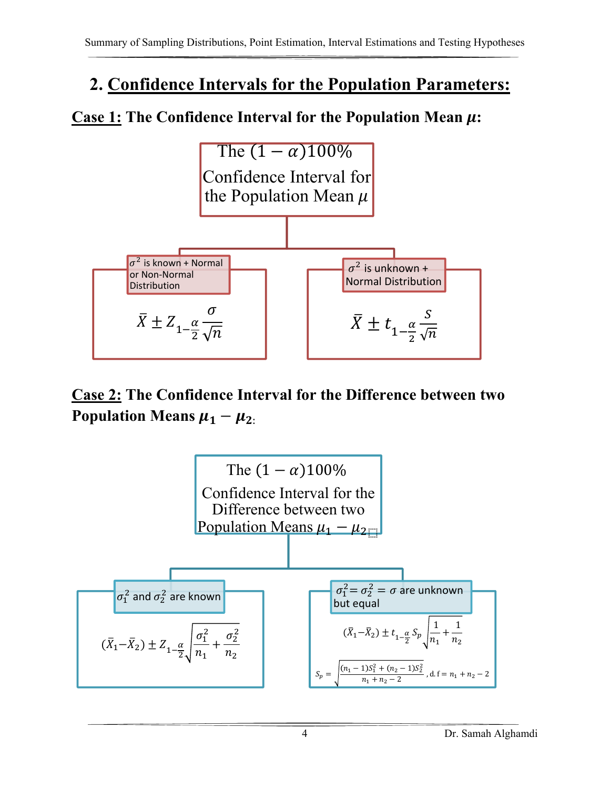## **2. Confidence Intervals for the Population Parameters:**

#### **Case 1: The Confidence Interval for the Population Mean**  $\mu$ **:**



#### **Case 2: The Confidence Interval for the Difference between two Population Means**  $\mu_1 - \mu_2$ **.**

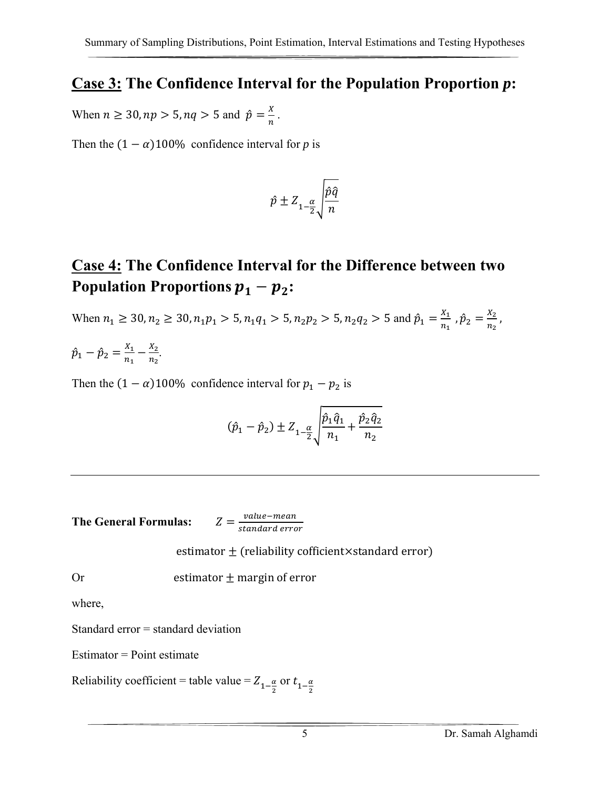#### **Case 3: The Confidence Interval for the Population Proportion** *p***:**

When  $n \ge 30$ ,  $np > 5$ ,  $nq > 5$  and  $\hat{p} = \frac{x}{n}$ .

Then the  $(1 - \alpha)100\%$  confidence interval for *p* is

$$
\hat{p} \pm Z_{1-\frac{\alpha}{2}} \sqrt{\frac{\hat{p}\hat{q}}{n}}
$$

#### **Case 4: The Confidence Interval for the Difference between two Population Proportions**  $p_1 - p_2$ :

When  $n_1 \ge 30$ ,  $n_2 \ge 30$ ,  $n_1 p_1 > 5$ ,  $n_1 q_1 > 5$ ,  $n_2 p_2 > 5$ ,  $n_2 q_2 > 5$  and  $\hat{p}_1 = \frac{X_1}{n_1}$ ,  $\hat{p}_2 = \frac{X_2}{n_2}$ ,  $\hat{p}_1 - \hat{p}_2 = \frac{X_1}{n_1} - \frac{X_2}{n_2}.$ 

Then the  $(1 - \alpha)100\%$  confidence interval for  $p_1 - p_2$  is

$$
(\hat{p}_1 - \hat{p}_2) \pm Z_{1-\frac{\alpha}{2}} \sqrt{\frac{\hat{p}_1 \hat{q}_1}{n_1} + \frac{\hat{p}_2 \hat{q}_2}{n_2}}
$$

**The General Formulas:** 

 $Z = \frac{value - mean}{standard error}$ 

estimator  $\pm$  (reliability cofficient×standard error)

Or estimator  $\pm$  margin of error

where,

Standard error = standard deviation

 $Estimator = Point estimate$ 

Reliability coefficient = table value =  $Z_{1-\frac{\alpha}{2}}$  or  $t_{1-\frac{\alpha}{2}}$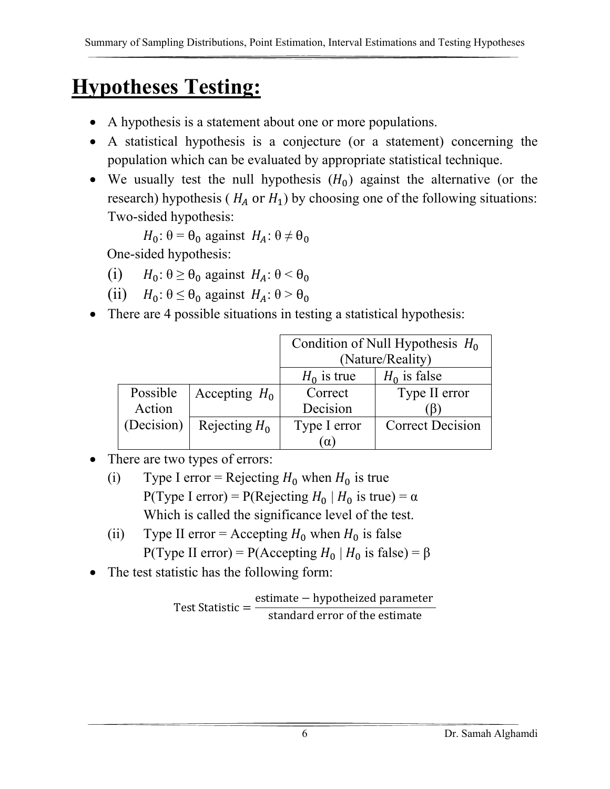# **Hypotheses Testing:**

- A hypothesis is a statement about one or more populations.
- A statistical hypothesis is a conjecture (or a statement) concerning the population which can be evaluated by appropriate statistical technique.
- We usually test the null hypothesis  $(H_0)$  against the alternative (or the research) hypothesis ( $H_A$  or  $H_1$ ) by choosing one of the following situations: Two-sided hypothesis:

 $H_0: \theta = \theta_0$  against  $H_A: \theta \neq \theta_0$ 

One-sided hypothesis:

- (i)  $H_0: \theta \ge \theta_0$  against  $H_A: \theta \le \theta_0$
- (ii)  $H_0: \theta \leq \theta_0$  against  $H_A: \theta > \theta_0$
- There are 4 possible situations in testing a statistical hypothesis:

|            |                 | Condition of Null Hypothesis $H_0$ |                         |
|------------|-----------------|------------------------------------|-------------------------|
|            |                 | (Nature/Reality)                   |                         |
|            |                 | $H_0$ is false<br>$H_0$ is true    |                         |
| Possible   | Accepting $H_0$ | Correct                            | Type II error           |
| Action     |                 | Decision                           |                         |
| (Decision) | Rejecting $H_0$ | Type I error                       | <b>Correct Decision</b> |
|            |                 |                                    |                         |

- There are two types of errors:
	- (i) Type I error = Rejecting  $H_0$  when  $H_0$  is true P(Type I error) = P(Rejecting  $H_0 \mid H_0$  is true) =  $\alpha$ Which is called the significance level of the test.
	- (ii) Type II error = Accepting  $H_0$  when  $H_0$  is false P(Type II error) = P(Accepting  $H_0 | H_0$  is false) =  $\beta$
- The test statistic has the following form:

Test Statistic  $=\frac{\text{estimate} - \text{hypotheized parameter}}{1 - \text{length} + \text{width}}$ standard error of the estimate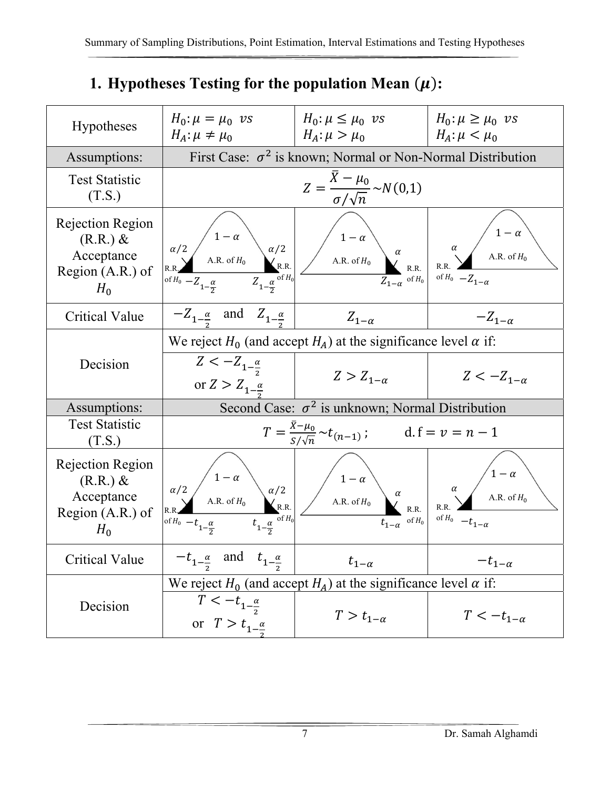#### **1. Hypotheses Testing for the population Mean**  $(\mu)$ **:**

| Hypotheses                                                                   | $H_0: \mu = \mu_0$ vs<br>$H_A$ : $\mu \neq \mu_0$                                                                  | $H_0: \mu \leq \mu_0$ vs<br>$H_A$ : $\mu > \mu_0$                                                                                | $H_0$ : $\mu \geq \mu_0$ vs<br>$H_A$ : $\mu < \mu_0$                                                       |
|------------------------------------------------------------------------------|--------------------------------------------------------------------------------------------------------------------|----------------------------------------------------------------------------------------------------------------------------------|------------------------------------------------------------------------------------------------------------|
| Assumptions:                                                                 | First Case: $\sigma^2$ is known; Normal or Non-Normal Distribution                                                 |                                                                                                                                  |                                                                                                            |
| <b>Test Statistic</b><br>(T.S.)                                              |                                                                                                                    | $Z = \frac{X - \mu_0}{\sigma / \sqrt{n}} \sim N(0,1)$                                                                            |                                                                                                            |
| Rejection Region<br>$(R.R.)$ &<br>Acceptance<br>Region $(A.R.)$ of<br>$H_0$  | $\alpha/2$ $1 - \alpha$<br>R.R. A.R. of $H_0$ $\alpha/2$<br>$R$ .R. $\alpha$ $Z_{1-\frac{\alpha}{2}}$ of $H_0$ $Z$ | $\left(\begin{array}{c c}\n1-\alpha \\ \end{array}\right)$<br>A.R. of $H_0$ $\alpha$<br>R.R. $\alpha$<br>$Z_{1-\alpha}$ of $H_0$ | $A.R.$ of $H_0$<br>of $H_0$ $-Z_{1-\alpha}$                                                                |
| <b>Critical Value</b>                                                        | $-Z_{1-\frac{\alpha}{2}}$ and $Z_{1-\frac{\alpha}{2}}$                                                             | $Z_{1-\alpha}$                                                                                                                   | $-Z_{1-\alpha}$                                                                                            |
|                                                                              | We reject $H_0$ (and accept $H_A$ ) at the significance level $\alpha$ if:                                         |                                                                                                                                  |                                                                                                            |
| Decision                                                                     | $Z < -Z_{1-\frac{\alpha}{2}}$<br>or $Z > Z_{1-\frac{\alpha}{\alpha}}$                                              | $Z > Z_{1-\alpha}$                                                                                                               | $Z < -Z_{1-\alpha}$                                                                                        |
| Assumptions:                                                                 |                                                                                                                    | Second Case: $\sigma^2$ is unknown; Normal Distribution                                                                          |                                                                                                            |
| <b>Test Statistic</b><br>(T.S.)                                              |                                                                                                                    | $T = \frac{X - \mu_0}{S/\sqrt{n}} \sim t_{(n-1)};$ d. $f = v = n - 1$                                                            |                                                                                                            |
| Rejection Region<br>$(R.R.) \&$<br>Acceptance<br>Region $(A.R.)$ of<br>$H_0$ | $\alpha/2$ $\alpha/2$ $\alpha/2$<br>A.R. of $H_0$ $\alpha/2$ R.R.<br>of $H_0$ $-t_{1-\frac{\alpha}{2}}$            | $\left  \frac{1-\alpha}{A.R. \text{ of } H_0} \right $<br>$t_{1-\alpha}$ of $H_0$                                                | $\begin{pmatrix} 1 - \alpha \\ A.R. \text{ of } H_0 \end{pmatrix}$<br>$\alpha$<br>of $H_0$ $-t_{1-\alpha}$ |
| <b>Critical Value</b>                                                        | $-t_{1-\frac{\alpha}{2}}$ and $t_{1-\frac{\alpha}{2}}$                                                             | $t_{1-\alpha}$                                                                                                                   | $-t_{1-\alpha}$                                                                                            |
|                                                                              | We reject $H_0$ (and accept $H_A$ ) at the significance level $\alpha$ if:                                         |                                                                                                                                  |                                                                                                            |
| Decision                                                                     | $T < -t_{1-\frac{\alpha}{2}}$<br>or $T > t_{1-\frac{\alpha}{2}}$                                                   | $T > t_{1-\alpha}$                                                                                                               | $T < -t_{1-\alpha}$                                                                                        |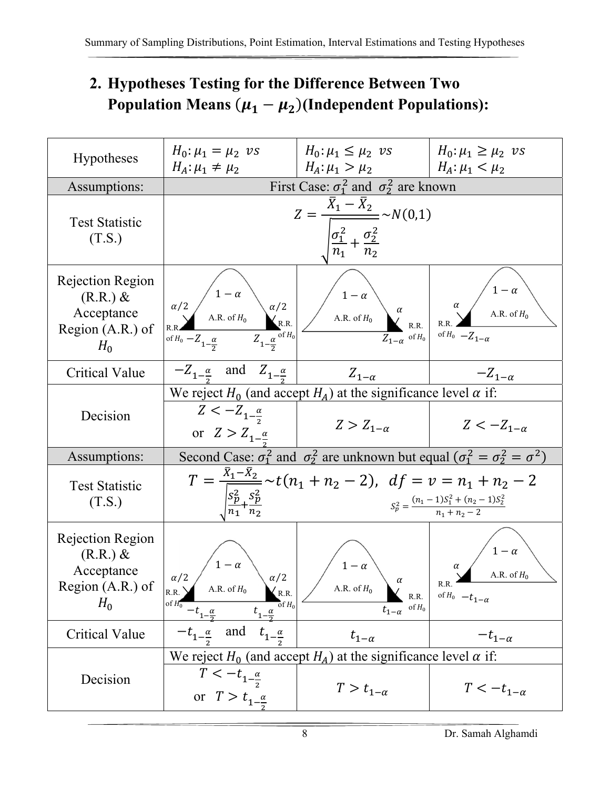## **2. Hypotheses Testing for the Difference Between Two Population Means**  $(\mu_1 - \mu_2)$  (Independent Populations):

| <b>Hypotheses</b>                                                           | $H_0: \mu_1 = \mu_2$ vs<br>$H_A: \mu_1 \neq \mu_2$                                                                                                                                  | $H_0: \mu_1 \leq \mu_2$ vs<br>$H_A: \mu_1 > \mu_2$                                                                                                                                           | $H_0: \mu_1 \geq \mu_2$ vs<br>$H_A: \mu_1 < \mu_2$                  |
|-----------------------------------------------------------------------------|-------------------------------------------------------------------------------------------------------------------------------------------------------------------------------------|----------------------------------------------------------------------------------------------------------------------------------------------------------------------------------------------|---------------------------------------------------------------------|
| Assumptions:                                                                | First Case: $\sigma_1^2$ and $\sigma_2^2$ are known                                                                                                                                 |                                                                                                                                                                                              |                                                                     |
| <b>Test Statistic</b><br>(T.S.)                                             |                                                                                                                                                                                     | $Z = \frac{X_1 - X_2}{\sqrt{X_1 - X_2}} \sim N(0,1)$<br>$\frac{\sigma_1^2}{n_1} + \frac{\sigma_2^2}{n_2}$                                                                                    |                                                                     |
| Rejection Region<br>$(R.R.)$ &<br>Acceptance<br>Region $(A.R.)$ of<br>$H_0$ | of $H_0 - Z_{1-\frac{\alpha}{2}}$ $Z_{1-\frac{\alpha}{2}}$ of $H_0$                                                                                                                 | $\alpha/2$ $\begin{pmatrix} 1-\alpha \\ A.R. \text{ of } H_0 \end{pmatrix}$ $\alpha/2$ $\alpha/2$ $\alpha$ $\alpha$ $A.R. \text{ of } H_0$ $\alpha$ $\alpha$ R.R.<br>$Z_{1-\alpha}$ of $H_0$ | $1-\alpha$<br>$\alpha$<br>A.R. of $H_0$<br>of $H_0$ $-Z_{1-\alpha}$ |
| Critical Value                                                              | $-Z_{1-\frac{\alpha}{2}}$ and $Z_{1-\frac{\alpha}{2}}$                                                                                                                              | $Z_{1-\alpha}$                                                                                                                                                                               | $-Z_{1-\alpha}$                                                     |
|                                                                             |                                                                                                                                                                                     | We reject $H_0$ (and accept $H_A$ ) at the significance level $\alpha$ if:                                                                                                                   |                                                                     |
| Decision                                                                    | $Z < -Z_{1-\frac{\alpha}{2}}$<br>or $Z > Z_{1-\frac{\alpha}{2}}$                                                                                                                    | $Z > Z_{1-\alpha}$                                                                                                                                                                           | $Z < -Z_{1-\alpha}$                                                 |
| Assumptions:                                                                | Second Case: $\sigma_1^2$ and $\sigma_2^2$ are unknown but equal $(\sigma_1^2 = \sigma_2^2 = \sigma^2)$                                                                             |                                                                                                                                                                                              |                                                                     |
| <b>Test Statistic</b><br>(T.S.)                                             | $\sqrt{\frac{S_p^2}{n_1} + \frac{S_p^2}{n_2}}$                                                                                                                                      | $T = \frac{X_1 - X_2}{T} \sim t(n_1 + n_2 - 2)$ , $df = v = n_1 + n_2 - 2$                                                                                                                   | $S_p^2 = \frac{(n_1 - 1)S_1^2 + (n_2 - 1)S_2^2}{n_1 + n_2 - 2}$     |
| Rejection Region<br>$(R.R.)$ &<br>Acceptance<br>Region (A.R.) of<br>$H_0$   | $/ 1 - \alpha$<br>$\int \alpha/2$<br>A.R. of $H_0$<br>R.R.<br>$\bigwedge$ R.R.<br>of $H_0^-$<br>$\overline{\circ}$ f $H_0$<br>$-t_{1-\frac{\alpha}{2}}$<br>$t_{1-\frac{\alpha}{2}}$ | $1-\alpha$<br>A.R. of $H_0$<br>R.R.<br>of $H_0$<br>$t_{1-\alpha}$                                                                                                                            | A.R. of $H_0$<br>of $H_0$ $-t_{1-\alpha}$                           |
| <b>Critical Value</b>                                                       | and $t_{1-\frac{\alpha}{2}}$<br>$-t_{1-\frac{\alpha}{2}}$                                                                                                                           | $t_{1-\alpha}$                                                                                                                                                                               | $-t_{1-\alpha}$                                                     |
|                                                                             | We reject $H_0$ (and accept $H_A$ ) at the significance level $\alpha$ if:                                                                                                          |                                                                                                                                                                                              |                                                                     |
| Decision                                                                    | $T < -t_{1-\frac{\alpha}{2}}$<br>or $T > t_{1-\frac{\alpha}{2}}$                                                                                                                    | $T > t_{1-\alpha}$                                                                                                                                                                           | $T<-t_{1-\alpha}$                                                   |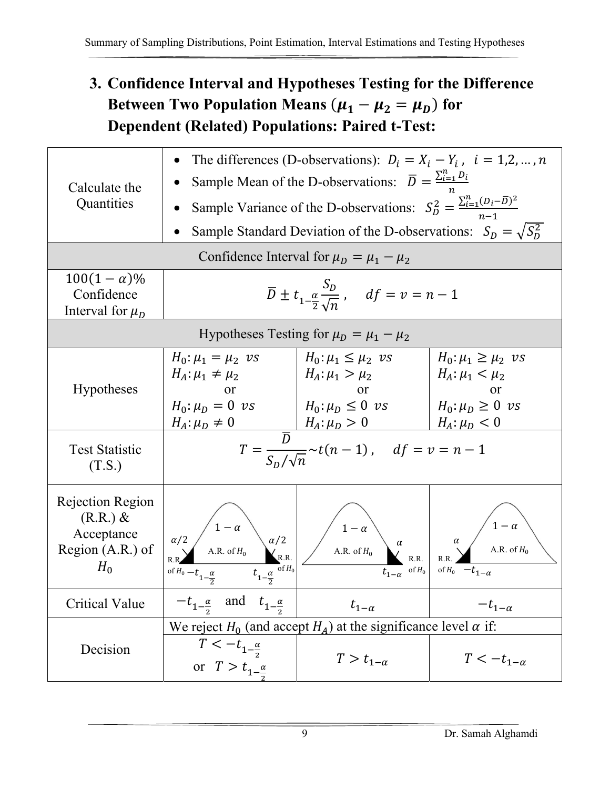## **3. Confidence Interval and Hypotheses Testing for the Difference**  Between Two Population Means  $(\mu_1 - \mu_2 = \mu_D)$  for **Dependent (Related) Populations: Paired t-Test:**

| Calculate the<br>Quantities                                                  |                                                                                                                                                | The differences (D-observations): $D_i = X_i - Y_i$ , $i = 1, 2, , n$<br>Sample Mean of the D-observations: $\overline{D} = \frac{\sum_{i=1}^{n} D_i}{\sum_{i=1}^{n} D_i}$<br>Sample Variance of the D-observations: $S_D^2 = \frac{\sum_{i=1}^{n} (D_i - \overline{D})^2}{n-1}$<br>Sample Standard Deviation of the D-observations: $S_D = \sqrt{S_D^2}$ |                                                                 |
|------------------------------------------------------------------------------|------------------------------------------------------------------------------------------------------------------------------------------------|-----------------------------------------------------------------------------------------------------------------------------------------------------------------------------------------------------------------------------------------------------------------------------------------------------------------------------------------------------------|-----------------------------------------------------------------|
|                                                                              |                                                                                                                                                | Confidence Interval for $\mu_D = \mu_1 - \mu_2$                                                                                                                                                                                                                                                                                                           |                                                                 |
| $100(1-\alpha)\%$<br>Confidence<br>Interval for $\mu_D$                      | $\label{eq:1.1} \overline{D}\pm t_{1-\frac{\alpha}{2}\sqrt{n}}\;,\quad df=v=n-1$                                                               |                                                                                                                                                                                                                                                                                                                                                           |                                                                 |
|                                                                              |                                                                                                                                                | Hypotheses Testing for $\mu_D = \mu_1 - \mu_2$                                                                                                                                                                                                                                                                                                            |                                                                 |
| <b>Hypotheses</b>                                                            | $H_0: \mu_1 = \mu_2$ vs<br>$H_A: \mu_1 \neq \mu_2$<br><sub>or</sub><br>$H_A: \mu_D \neq 0$                                                     | $H_0: \mu_1 \leq \mu_2$ vs<br>  $H_A: \mu_1 > \mu_2$<br>or<br>$H_0: \mu_D = 0 \text{ vs } H_0: \mu_D \leq 0 \text{ vs } H_0: \mu_D \geq 0 \text{ vs }$<br>$H_A: \mu_D > 0$ $H_A: \mu_D < 0$                                                                                                                                                               | $H_0: \mu_1 \geq \mu_2$ vs<br>$H_A: \mu_1 < \mu_2$<br><b>or</b> |
| <b>Test Statistic</b><br>(T.S.)                                              | $T = \frac{\overline{D}}{\varsigma_{\sim 1}\sqrt{n}} \sim t(n-1)$ , $df = v = n-1$                                                             |                                                                                                                                                                                                                                                                                                                                                           |                                                                 |
| Rejection Region<br>$(R.R.) \&$<br>Acceptance<br>Region $(A.R.)$ of<br>$H_0$ | $\begin{pmatrix} 1 - \alpha \\ AB. \text{ of } H_0 \end{pmatrix} \alpha/2$<br>A.R. of $H_0$<br>$\alpha/2$<br>of $H_0 - t_{1-\frac{\alpha}{2}}$ | $1 - \alpha$<br>A.R. of $H_0$<br>$t_{1-\alpha}$ of $H_0$                                                                                                                                                                                                                                                                                                  | of $H_0$ $-t_{1-\alpha}$                                        |
| <b>Critical Value</b>                                                        | $-t_{1-\frac{\alpha}{2}}$ and $t_{1-\frac{\alpha}{2}}$                                                                                         | $t_{1-\alpha}$                                                                                                                                                                                                                                                                                                                                            | $-t_{1-\alpha}$                                                 |
| Decision                                                                     | $T < -t_{1-\frac{\alpha}{2}}$<br>or $T > t_{1-\frac{\alpha}{\alpha}}$                                                                          | We reject $H_0$ (and accept $H_A$ ) at the significance level $\alpha$ if:<br>$T > t_{1-\alpha}$                                                                                                                                                                                                                                                          | $T < -t_{1-\alpha}$                                             |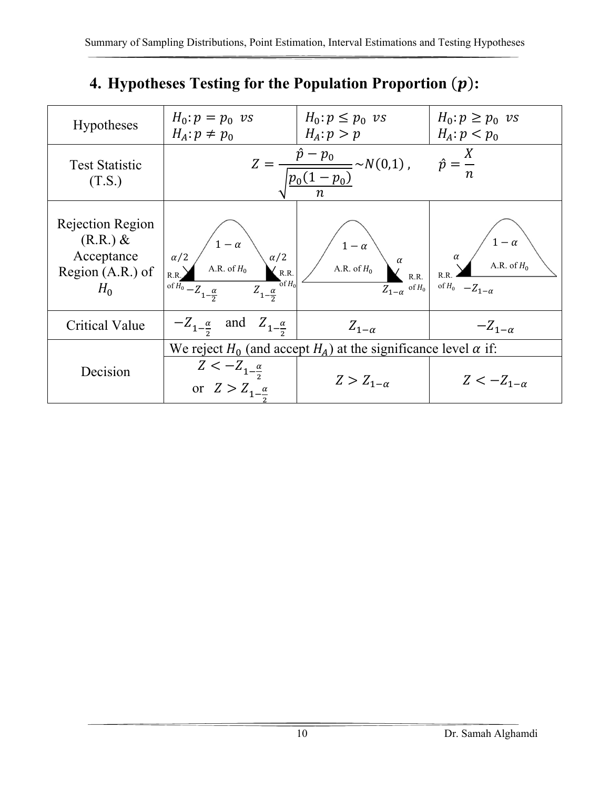|  |  |  | 4. Hypotheses Testing for the Population Proportion $(p)$ : |  |  |
|--|--|--|-------------------------------------------------------------|--|--|
|--|--|--|-------------------------------------------------------------|--|--|

| <b>Hypotheses</b>                                                         | $H_0: p = p_0$ vs<br>$H_A: p \neq p_0$                                                                                                                              | $H_0: p \leq p_0$ vs<br>$H_A: p > p$                                       | $H_0: p \geq p_0$ vs<br>$H_A: p < p_0$                |
|---------------------------------------------------------------------------|---------------------------------------------------------------------------------------------------------------------------------------------------------------------|----------------------------------------------------------------------------|-------------------------------------------------------|
| <b>Test Statistic</b><br>(T.S.)                                           |                                                                                                                                                                     | $Z = \frac{p - p_0}{\sqrt{p_0 - p_0}} \sim N(0,1)$ ,<br>$p_0(1-p_0)$       | $\hat{p} = \frac{X}{A}$                               |
| Rejection Region<br>$(R.R.)$ &<br>Acceptance<br>Region (A.R.) of<br>$H_0$ | $1-\alpha$<br>$\alpha/2$<br>$\alpha/2$<br>A.R. of $H_0$<br>R.R.<br>$\int_{0}^{1} H_0$<br>of $\overline{H_0}$ - $Z_{1-\frac{\alpha}{2}}$<br>$Z_{1-\frac{\alpha}{2}}$ | $1-\alpha$<br>$\alpha$<br>A.R. of $H_0$<br>$Z_{1-\alpha}$ of $H_0$         | $\alpha$<br>A.R. of $H_0$<br>of $H_0$ $-Z_{1-\alpha}$ |
| <b>Critical Value</b>                                                     | $-Z_{1-\frac{\alpha}{2}}$ and $Z_{1-\frac{\alpha}{2}}$                                                                                                              | $Z_{1-\alpha}$                                                             | $-Z_{1-\alpha}$                                       |
|                                                                           |                                                                                                                                                                     | We reject $H_0$ (and accept $H_A$ ) at the significance level $\alpha$ if: |                                                       |
| Decision                                                                  | $Z < -Z_{1-\frac{\alpha}{2}}$<br>or $Z > Z_{1-\frac{\alpha}{\alpha}}$                                                                                               | $Z > Z_{1-\alpha}$                                                         | $Z < -Z_{1-\alpha}$                                   |